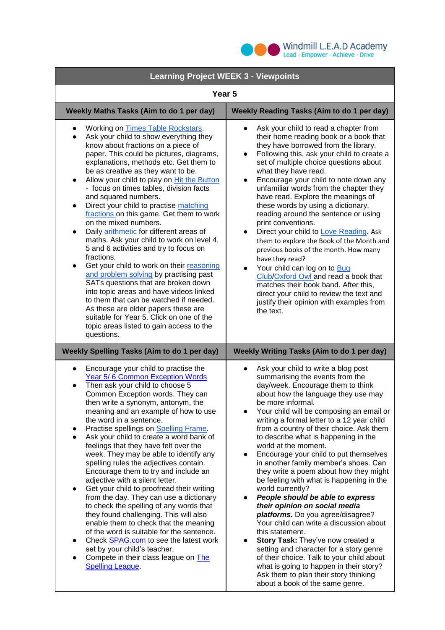

| <b>Learning Project WEEK 3 - Viewpoints</b>                                                                                                                                                                                                                                                                                                                                                                                                                                                                                                                                                                                                                                                                                                                                                                                                                                                                                                                                                                                                                                 |                                                                                                                                                                                                                                                                                                                                                                                                                                                                                                                                                                                                                                                                                                                                                                                                                                                                                                                                                                                                               |
|-----------------------------------------------------------------------------------------------------------------------------------------------------------------------------------------------------------------------------------------------------------------------------------------------------------------------------------------------------------------------------------------------------------------------------------------------------------------------------------------------------------------------------------------------------------------------------------------------------------------------------------------------------------------------------------------------------------------------------------------------------------------------------------------------------------------------------------------------------------------------------------------------------------------------------------------------------------------------------------------------------------------------------------------------------------------------------|---------------------------------------------------------------------------------------------------------------------------------------------------------------------------------------------------------------------------------------------------------------------------------------------------------------------------------------------------------------------------------------------------------------------------------------------------------------------------------------------------------------------------------------------------------------------------------------------------------------------------------------------------------------------------------------------------------------------------------------------------------------------------------------------------------------------------------------------------------------------------------------------------------------------------------------------------------------------------------------------------------------|
| Year <sub>5</sub>                                                                                                                                                                                                                                                                                                                                                                                                                                                                                                                                                                                                                                                                                                                                                                                                                                                                                                                                                                                                                                                           |                                                                                                                                                                                                                                                                                                                                                                                                                                                                                                                                                                                                                                                                                                                                                                                                                                                                                                                                                                                                               |
| Weekly Maths Tasks (Aim to do 1 per day)                                                                                                                                                                                                                                                                                                                                                                                                                                                                                                                                                                                                                                                                                                                                                                                                                                                                                                                                                                                                                                    | <b>Weekly Reading Tasks (Aim to do 1 per day)</b>                                                                                                                                                                                                                                                                                                                                                                                                                                                                                                                                                                                                                                                                                                                                                                                                                                                                                                                                                             |
| Working on Times Table Rockstars.<br>$\bullet$<br>Ask your child to show everything they<br>$\bullet$<br>know about fractions on a piece of<br>paper. This could be pictures, diagrams,<br>explanations, methods etc. Get them to<br>be as creative as they want to be.<br>Allow your child to play on Hit the Button<br>$\bullet$<br>- focus on times tables, division facts<br>and squared numbers.<br>Direct your child to practise matching<br>$\bullet$<br>fractions on this game. Get them to work<br>on the mixed numbers.<br>Daily arithmetic for different areas of<br>$\bullet$<br>maths. Ask your child to work on level 4,<br>5 and 6 activities and try to focus on<br>fractions.<br>Get your child to work on their reasoning<br>$\bullet$<br>and problem solving by practising past<br>SATs questions that are broken down<br>into topic areas and have videos linked<br>to them that can be watched if needed.<br>As these are older papers these are<br>suitable for Year 5. Click on one of the<br>topic areas listed to gain access to the<br>questions. | Ask your child to read a chapter from<br>their home reading book or a book that<br>they have borrowed from the library.<br>Following this, ask your child to create a<br>$\bullet$<br>set of multiple choice questions about<br>what they have read.<br>Encourage your child to note down any<br>unfamiliar words from the chapter they<br>have read. Explore the meanings of<br>these words by using a dictionary,<br>reading around the sentence or using<br>print conventions.<br>Direct your child to Love Reading. Ask<br>$\bullet$<br>them to explore the Book of the Month and<br>previous books of the month. How many<br>have they read?<br>Your child can log on to Bug<br>$\bullet$<br>Club/Oxford Owl and read a book that<br>matches their book band. After this,<br>direct your child to review the text and<br>justify their opinion with examples from<br>the text.                                                                                                                           |
| <b>Weekly Spelling Tasks (Aim to do 1 per day)</b><br><b>Weekly Writing Tasks (Aim to do 1 per day)</b>                                                                                                                                                                                                                                                                                                                                                                                                                                                                                                                                                                                                                                                                                                                                                                                                                                                                                                                                                                     |                                                                                                                                                                                                                                                                                                                                                                                                                                                                                                                                                                                                                                                                                                                                                                                                                                                                                                                                                                                                               |
| Encourage your child to practise the<br>$\bullet$<br>Year 5/6 Common Exception Words<br>Then ask your child to choose 5<br>$\bullet$<br>Common Exception words. They can<br>then write a synonym, antonym, the<br>meaning and an example of how to use<br>the word in a sentence.<br>Practise spellings on Spelling Frame.<br>$\bullet$<br>Ask your child to create a word bank of<br>$\bullet$<br>feelings that they have felt over the<br>week. They may be able to identify any<br>spelling rules the adjectives contain.<br>Encourage them to try and include an<br>adjective with a silent letter.<br>Get your child to proofread their writing<br>$\bullet$<br>from the day. They can use a dictionary<br>to check the spelling of any words that<br>they found challenging. This will also<br>enable them to check that the meaning<br>of the word is suitable for the sentence.<br>Check SPAG.com to see the latest work<br>$\bullet$<br>set by your child's teacher.<br>Compete in their class league on The<br><b>Spelling League.</b>                            | Ask your child to write a blog post<br>summarising the events from the<br>day/week. Encourage them to think<br>about how the language they use may<br>be more informal.<br>Your child will be composing an email or<br>writing a formal letter to a 12 year child<br>from a country of their choice. Ask them<br>to describe what is happening in the<br>world at the moment.<br>Encourage your child to put themselves<br>in another family member's shoes. Can<br>they write a poem about how they might<br>be feeling with what is happening in the<br>world currently?<br>People should be able to express<br>their opinion on social media<br>platforms. Do you agree/disagree?<br>Your child can write a discussion about<br>this statement.<br><b>Story Task: They've now created a</b><br>setting and character for a story genre<br>of their choice. Talk to your child about<br>what is going to happen in their story?<br>Ask them to plan their story thinking<br>about a book of the same genre. |